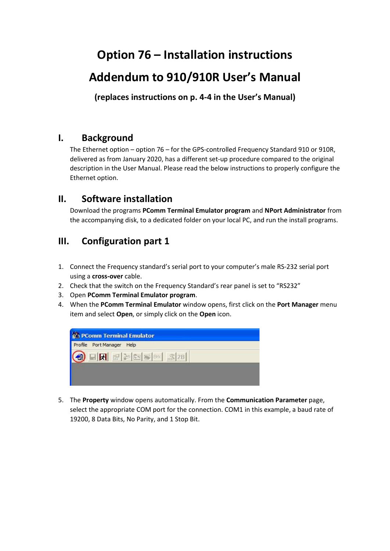# **Option 76 – Installation instructions**

# **Addendum to 910/910R User's Manual**

**(replaces instructions on p. 4-4 in the User's Manual)**

## **I. Background**

The Ethernet option – option 76 – for the GPS-controlled Frequency Standard 910 or 910R, delivered as from January 2020, has a different set-up procedure compared to the original description in the User Manual. Please read the below instructions to properly configure the Ethernet option.

## **II. Software installation**

Download the programs **PComm Terminal Emulator program** and **NPort Administrator** from the accompanying disk, to a dedicated folder on your local PC, and run the install programs.

# **III. Configuration part 1**

- 1. Connect the Frequency standard's serial port to your computer's male RS-232 serial port using a **cross-over** cable.
- 2. Check that the switch on the Frequency Standard's rear panel is set to "RS232"
- 3. Open **PComm Terminal Emulator program**.
- 4. When the **PComm Terminal Emulator** window opens, first click on the **Port Manager** menu item and select **Open**, or simply click on the **Open** icon.



5. The **Property** window opens automatically. From the **Communication Parameter** page, select the appropriate COM port for the connection. COM1 in this example, a baud rate of 19200, 8 Data Bits, No Parity, and 1 Stop Bit.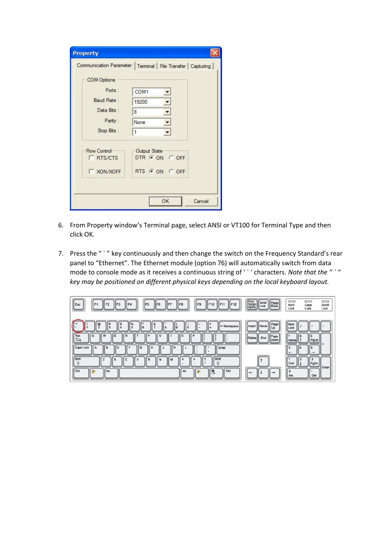|                                     | Communication Parameter   Terminal   File Transfer   Capturing |
|-------------------------------------|----------------------------------------------------------------|
| <b>COM Options</b>                  |                                                                |
| Ports:                              | COM1                                                           |
| Baud Rate:                          | 19200                                                          |
| Data Bits:                          | 8                                                              |
| Parity:                             | None                                                           |
| Stop Bits:                          | $\mathbf{1}$                                                   |
| Flow Control<br>RTS/CTS<br>XON/XOFF | Output State<br>DTR G ON C OFF<br>RTS G ON C OFF               |

- 6. From Property window's Terminal page, select ANSI or VT100 for Terminal Type and then click OK.
- 7. Press the " ` " key continuously and then change the switch on the Frequency Standard's rear panel to "Ethernet". The Ethernet module (option 76) will automatically switch from data mode to console mode as it receives a continuous string of ' ` ' characters. *Note that the " ` " key may be positioned on different physical keys depending on the local keyboard layout.*

| $\sqrt{\frac{1}{1}}$<br>F <sub>9</sub><br><b>F12</b><br>F <sub>8</sub><br>IF <sub>1</sub><br>F4<br>IF7<br>F11<br>F <sub>2</sub><br>F10<br>F3<br>F6<br>IF <sub>5</sub>                                                                                                                                                                                                                            | Print<br>Screen<br>SysRq<br>Scroll<br>Lock<br>Pause<br>Break | <b>Services</b><br>Scroll<br>Num<br>Caps<br>Lock<br>Lock<br>Lock                                                           |
|--------------------------------------------------------------------------------------------------------------------------------------------------------------------------------------------------------------------------------------------------------------------------------------------------------------------------------------------------------------------------------------------------|--------------------------------------------------------------|----------------------------------------------------------------------------------------------------------------------------|
| -Backspace<br>$\overline{\mathbf{3}}$<br>5<br>$\overline{2}$<br>ll 6<br>8<br>۰<br>$\equiv$<br>$\overline{\phantom{a}}^{\rm lab}$<br>w<br>E<br>R<br>$\circ$<br>$\circ$<br>$\Omega$<br>Caps Lock<br>Enter<br>к<br>s<br>$\Omega$<br>с<br>G<br>н<br>A<br>Shift<br><del>4</del><br>Shift<br>x<br>$\mathsf{B}$<br>$\overline{\phantom{a}}$<br>$\mathbf{N}$<br>$\mathbf{v}$<br>c<br>M<br>$\hat{r}$<br>슈 | Page<br>Insert Home<br>Up<br>Page<br>End<br>Delete<br>Down   | Num<br>Lock<br>$\mathbf{Q}$<br>PgUp<br>Home<br>ĥ<br>$\qquad \qquad \blacksquare$<br>$\cdots$<br>$\sim$<br>з<br>End<br>PgDn |
| Ctrl<br>Ctrl<br>Alt<br>Alt<br>B                                                                                                                                                                                                                                                                                                                                                                  | -                                                            | Enter<br>٠<br>0<br>Del<br>Ins                                                                                              |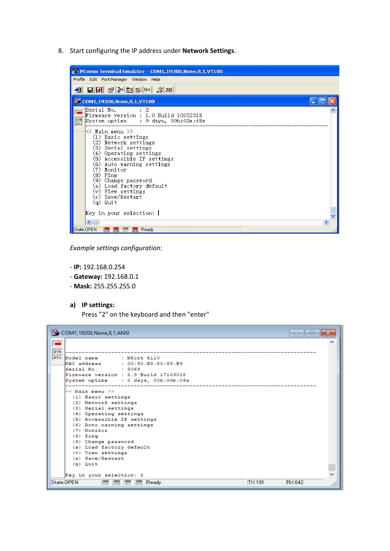8. Start configuring the IP address under **Network Settings**.



*Example settings configuration:*

- **IP:** 192.168.0.254
- **Gateway:** 192.168.0.1
- **Mask:** 255.255.255.0
- **a) IP settings:**

Press "2" on the keyboard and then "enter"

| COM1,19200, None, 8, 1, ANSI                                                                                                                                                                                                                                                                                   | 同<br>$\Box$ |
|----------------------------------------------------------------------------------------------------------------------------------------------------------------------------------------------------------------------------------------------------------------------------------------------------------------|-------------|
|                                                                                                                                                                                                                                                                                                                |             |
| DTR<br>RTS Model name<br>$:$ NPort $5110$<br>MAC address : 00:90:E8:80:89:B9<br>Serial No. 8069<br>Firmware version : 2.9 Build 17103018<br>System uptime : 0 days, 00h:00m:03s                                                                                                                                |             |
| << Main menu >><br>(1) Basic settings<br>(2) Network settings<br>(3) Serial settings<br>(4) Operating settings<br>(5) Accessible IP settings<br>(6) Auto warning settings<br>(7) Monitor<br>$(8)$ Ping<br>(9) Change password<br>(a) Load factory default<br>(v) View settings<br>(s) Save/Restart<br>(g) Cuit |             |
| Key in your selection: 2                                                                                                                                                                                                                                                                                       |             |
| TX:191<br>State:OPEN<br>$\left \overline{\text{crs}}\right \left \overline{\text{bsr}}\right \left \overline{\text{Rr}}\right \left \overline{\text{bco}}\right $ Ready                                                                                                                                        | RX:642      |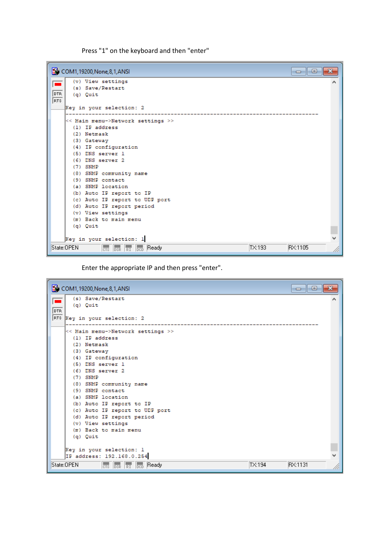Press "1" on the keyboard and then "enter"

|            | COM1, 19200, None, 8, 1, ANSI<br>-6<br>- 1                                                       |  |
|------------|--------------------------------------------------------------------------------------------------|--|
|            | (v) View settings                                                                                |  |
|            | (s) Save/Restart                                                                                 |  |
| DTR        | (g) Quit                                                                                         |  |
| <b>RTS</b> |                                                                                                  |  |
|            | Key in your selection: 2                                                                         |  |
|            |                                                                                                  |  |
|            | << Main menu->Network settings >><br>$(1)$ IP address                                            |  |
|            | (2) Netmask                                                                                      |  |
|            | (3) Gateway                                                                                      |  |
|            | (4) IP configuration                                                                             |  |
|            | (5) DNS server 1                                                                                 |  |
|            | (6) DNS server 2                                                                                 |  |
|            | $(7)$ SNMP                                                                                       |  |
|            | (8) SNMP community name                                                                          |  |
|            | (9) SNMP contact                                                                                 |  |
|            | (a) SNMP location                                                                                |  |
|            | (b) Auto IP report to IP                                                                         |  |
|            | (c) Auto IP report to UDP port                                                                   |  |
|            | (d) Auto IP report period                                                                        |  |
|            | (v) View settings                                                                                |  |
|            | (m) Back to main menu                                                                            |  |
|            | (g) Cuit                                                                                         |  |
|            |                                                                                                  |  |
|            | Key in your selection: 1                                                                         |  |
|            | State:OPEN<br>RX:1105<br>TX:193<br>$\overline{\phantom{a}}_{\rm 0CD}$ Ready<br><b>CTS</b> DSR RI |  |

Enter the appropriate IP and then press "enter".

| COM1, 19200, None, 8, 1, ANSI                                                                                                                                                                        | $\mathbf{x}$<br>-- Lo |
|------------------------------------------------------------------------------------------------------------------------------------------------------------------------------------------------------|-----------------------|
| (s) Save/Restart                                                                                                                                                                                     |                       |
| (g) Quit                                                                                                                                                                                             |                       |
| <b>DTR</b>                                                                                                                                                                                           |                       |
| RTS Key in your selection: 2                                                                                                                                                                         |                       |
| << Main menu->Network settings >>                                                                                                                                                                    |                       |
| (1) IP address                                                                                                                                                                                       |                       |
| (2) Netmask                                                                                                                                                                                          |                       |
| (3) Gateway                                                                                                                                                                                          |                       |
| (4) IP configuration                                                                                                                                                                                 |                       |
| (5) DNS server 1                                                                                                                                                                                     |                       |
| (6) DNS server 2                                                                                                                                                                                     |                       |
| $(7)$ SNMP                                                                                                                                                                                           |                       |
| (8) SNMP community name                                                                                                                                                                              |                       |
| (9) SNMP contact                                                                                                                                                                                     |                       |
| (a) SNMP location                                                                                                                                                                                    |                       |
| (b) Auto IP report to IP                                                                                                                                                                             |                       |
| (c) Auto IP report to UDP port                                                                                                                                                                       |                       |
| (d) Auto IP report period                                                                                                                                                                            |                       |
| (v) View settings                                                                                                                                                                                    |                       |
| (m) Back to main menu                                                                                                                                                                                |                       |
| (g) Cuit                                                                                                                                                                                             |                       |
|                                                                                                                                                                                                      |                       |
| Rey in your selection: 1<br>IP address: 192.168.0.254                                                                                                                                                |                       |
|                                                                                                                                                                                                      |                       |
| State:OPEN<br>TX:194<br>$\left \overline{\text{crs}}\right $ $\left \overline{\text{ps}}\right $ $\left \overline{\text{r}}\right $ $\left \overline{\text{bco}}\right $ $\left \text{Ready}\right $ | RX:1131               |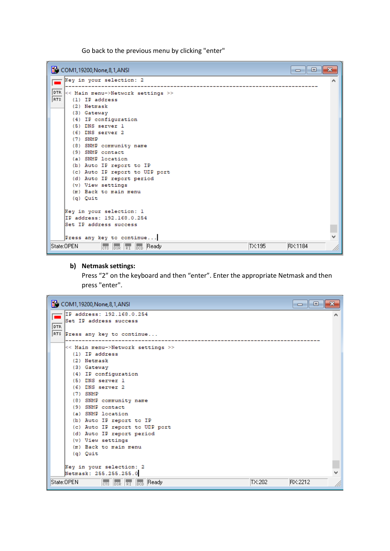Go back to the previous menu by clicking "enter"

| COM1, 19200, None, 8, 1, ANSI<br>-                                                                                                                                                                                                                                                                                                                                                                                                                                                                                         | o |
|----------------------------------------------------------------------------------------------------------------------------------------------------------------------------------------------------------------------------------------------------------------------------------------------------------------------------------------------------------------------------------------------------------------------------------------------------------------------------------------------------------------------------|---|
| Key in your selection: 2                                                                                                                                                                                                                                                                                                                                                                                                                                                                                                   |   |
| DTR.<br><< Main menu->Network settings >><br>RTS.<br>$(1)$ IP address<br>(2) Netmask<br>(3) Gateway<br>(4) IP configuration<br>(5) DNS server 1<br>(6) DNS server 2<br>$(7)$ SNMP<br>(8) SNMP community name<br>(9) SNMP contact<br>(a) SNMP location<br>(b) Auto IP report to IP<br>(c) Auto IP report to UDP port<br>(d) Auto IP report period<br>(v) View settings<br>(m) Back to main menu<br>(g) Quit<br>Key in your selection: 1<br>IP address: 192.168.0.254<br>Set IP address success<br>Press any key to continue |   |
| RX:1184<br>State:OPEN<br>TX:195<br>$\overline{\text{crs}}$ $\overline{\text{loss}}$ $\overline{\text{RT}}$ $\overline{\text{bc}}$ Ready                                                                                                                                                                                                                                                                                                                                                                                    |   |

### **b) Netmask settings:**

Press "2" on the keyboard and then "enter". Enter the appropriate Netmask and then press "enter".

| COM1,19200, None, 8, 1, ANSI                           |        | E<br>$\Box$ |  |
|--------------------------------------------------------|--------|-------------|--|
| IP address: 192.168.0.254                              |        |             |  |
| Set IP address success                                 |        |             |  |
| DTR                                                    |        |             |  |
| RTS<br>Press any key to continue                       |        |             |  |
|                                                        |        |             |  |
| << Main menu->Network settings >>                      |        |             |  |
| $(1)$ IP address                                       |        |             |  |
| (2) Netmask                                            |        |             |  |
| (3) Gateway                                            |        |             |  |
| (4) IP configuration                                   |        |             |  |
| (5) DNS server 1                                       |        |             |  |
| (6) DNS server 2                                       |        |             |  |
| $(7)$ SNMP                                             |        |             |  |
| (8) SNMP community name                                |        |             |  |
| (9) SNMP contact<br>(a) SNMP location                  |        |             |  |
| (b) Auto IP report to IP                               |        |             |  |
| (c) Auto IP report to UDP port                         |        |             |  |
| (d) Auto IP report period                              |        |             |  |
| (v) View settings                                      |        |             |  |
| (m) Back to main menu                                  |        |             |  |
| (g) Quit                                               |        |             |  |
|                                                        |        |             |  |
| Key in your selection: 2                               |        |             |  |
| Netmask: 255.255.255.0                                 |        |             |  |
| State:OPEN<br>Ready<br><b>CTS DSR RT</b><br><b>DCD</b> | TX:202 | RX:2212     |  |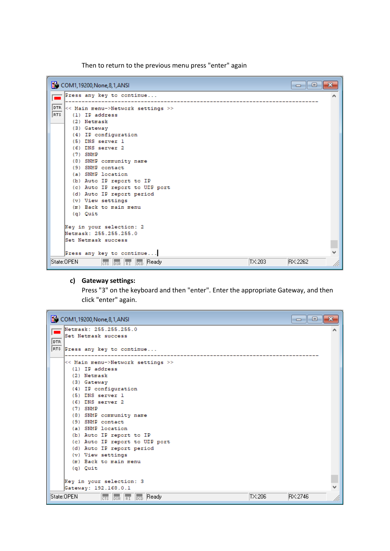Then to return to the previous menu press "enter" again



#### **c) Gateway settings:**

Press "3" on the keyboard and then "enter". Enter the appropriate Gateway, and then click "enter" again.

| COM1, 19200, None, 8, 1, ANSI                                                | 同<br>-- |
|------------------------------------------------------------------------------|---------|
| Netmask: 255.255.255.0                                                       |         |
| Set Netmask success                                                          |         |
| DTR.                                                                         |         |
| RTS Press any key to continue                                                |         |
|                                                                              |         |
| << Main menu->Network settings >><br>$(1)$ IP address                        |         |
| (2) Netmask                                                                  |         |
|                                                                              |         |
| (3) Gateway<br>(4) IP configuration                                          |         |
| (5) DNS server 1                                                             |         |
| (6) DNS server 2                                                             |         |
| $(7)$ SNMP                                                                   |         |
| (8) SNMP community name                                                      |         |
| (9) SNMP contact                                                             |         |
| (a) SNMP location                                                            |         |
| (b) Auto IP report to IP                                                     |         |
| (c) Auto IP report to UDP port                                               |         |
| (d) Auto IP report period                                                    |         |
| (v) View settings                                                            |         |
| (m) Back to main menu                                                        |         |
| (g) Quit                                                                     |         |
|                                                                              |         |
| Key in your selection: 3                                                     |         |
| Gateway: 192.168.0.1                                                         |         |
| TX:206<br>State:OPEN<br>$\overline{\mid_{\text{DCD}}}\,$ Ready<br>CTS DSR RI | RX:2746 |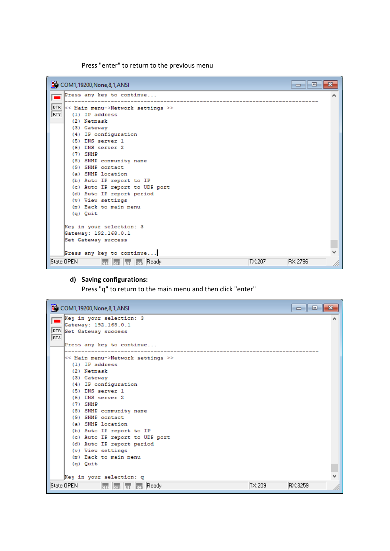Press "enter" to return to the previous menu



### **d) Saving configurations:**

Press "q" to return to the main menu and then click "enter"

| COM1, 19200, None, 8, 1, ANSI                             | e<br>$\Box$ |
|-----------------------------------------------------------|-------------|
| Key in your selection: 3                                  |             |
| Gateway: 192.168.0.1                                      |             |
| DTR<br>Set Gateway success                                |             |
| RTS                                                       |             |
| Press any key to continue                                 |             |
| << Main menu->Network settings >>                         |             |
| $(1)$ IP address                                          |             |
| (2) Netmask                                               |             |
| (3) Gateway                                               |             |
| (4) IP configuration                                      |             |
| $(5)$ DNS server $1$                                      |             |
| $(6)$ DNS server $2$                                      |             |
| $(7)$ SNMP                                                |             |
| (8) SNMP community name                                   |             |
| (9) SNMP contact                                          |             |
| (a) SNMP location                                         |             |
| (b) Auto IP report to IP                                  |             |
| (c) Auto IP report to UDP port                            |             |
| (d) Auto IP report period                                 |             |
| (v) View settings                                         |             |
| (m) Back to main menu                                     |             |
| (g) Quit                                                  |             |
|                                                           |             |
| Key in your selection: q                                  |             |
| State:OPEN<br>TX:209<br>Ready<br>CTS DSR RI<br><b>DCD</b> | RX:3259     |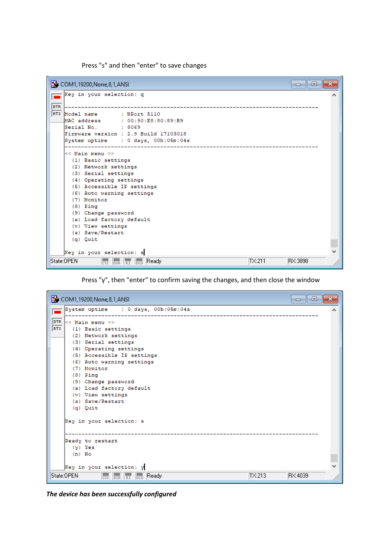Press "s" and then "enter" to save changes



Press "y", then "enter" to confirm saving the changes, and then close the window



*The device has been successfully configured*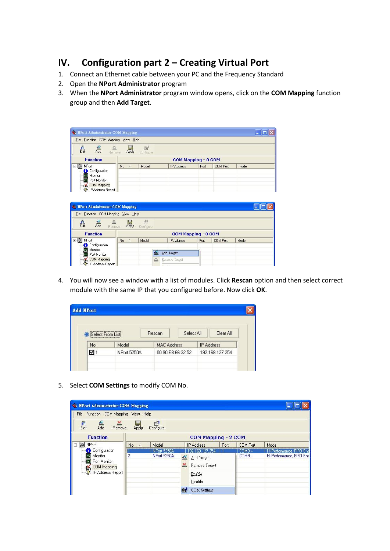# **IV. Configuration part 2 – Creating Virtual Port**

- 1. Connect an Ethernet cable between your PC and the Frequency Standard
- 2. Open the **NPort Administrator** program
- 3. When the **NPort Administrator** program window opens, click on the **COM Mapping** function group and then **Add Target**.

| File Function COM Mapping View Help                                 |       |                |                     |      |          |      |
|---------------------------------------------------------------------|-------|----------------|---------------------|------|----------|------|
| Гл.<br>Exit<br>$\sum_{\text{Remove}}$<br>$rac{1}{\text{Add}}$       | Apply | 囹<br>Configure |                     |      |          |      |
| <b>Function</b>                                                     |       |                | COM Mapping - 0 COM |      |          |      |
| <b>E</b> 2 NPort<br>Configuration<br>Monitor                        | No.   | Model.         | IP Address          | Port | COM Port | Mode |
| <b>of</b> Port Monitor<br><b>OM Mapping</b><br>W: IP Address Report |       |                |                     |      |          |      |

| W. NPort Administrator-COM Mapping           |       |                |                     |      |          |      |
|----------------------------------------------|-------|----------------|---------------------|------|----------|------|
| File Function COM Mapping View Help          |       |                |                     |      |          |      |
| F.<br>Exit<br>Add<br>$\sum_{\text{Remove}}$  | Apply | 图<br>Configure |                     |      |          |      |
| <b>Function</b>                              |       |                | COM Mapping - 0 COM |      |          |      |
| $\rightarrow$<br>NPort<br>E<br>Configuration | No    | Model          | IP Address          | Port | COM Port | Mode |
| Monitor<br>Port Monitor                      |       |                | Add Target          |      |          |      |
| COM Mapping<br>W: IP Address Report          |       |                | Remove Target       |      |          |      |

4. You will now see a window with a list of modules. Click **Rescan** option and then select correct module with the same IP that you configured before. Now click **OK**.

| Select From List |                    | Rescan             | Select All        |                   | Clear All       |
|------------------|--------------------|--------------------|-------------------|-------------------|-----------------|
| No               | Model              | <b>MAC Address</b> |                   | <b>IP Address</b> |                 |
| 1⊠               | <b>NPort 5250A</b> |                    | 00:90:E8:66:32:52 |                   | 192.168.127.254 |

5. Select **COM Settings** to modify COM No.

| <b>We NPort Administrator-COM Mapping</b>                |                     |                       |           |                         |      |                 |                          |
|----------------------------------------------------------|---------------------|-----------------------|-----------|-------------------------|------|-----------------|--------------------------|
| File Function COM Mapping View Help                      |                     |                       |           |                         |      |                 |                          |
| 真<br>Exit<br>Add<br>$\sum_{\text{Remove}}$               | Apply               | <b>S</b><br>Configure |           |                         |      |                 |                          |
| <b>Function</b>                                          | COM Mapping - 2 COM |                       |           |                         |      |                 |                          |
| ⊟ 2 NPort                                                | No.                 | Model                 |           | <b>IP Address</b>       | Port | <b>COM Port</b> | Mode                     |
| Configuration                                            |                     | <b>NPort 5250A</b>    |           | 192.168.127.254         |      | COM8 +          | Hi-Performance, FIFO End |
| Monitor                                                  | $\overline{c}$      | <b>NPort 5250A</b>    | $\bullet$ | Add Target              |      | $COM9 +$        | Hi-Performance, FIFO Ena |
| Port Monitor<br>◚<br>COM Mapping<br>W: IP Address Report |                     |                       | 즚         | Remove Target<br>Enable |      |                 |                          |
|                                                          |                     |                       |           |                         |      |                 |                          |
|                                                          |                     |                       |           | Disable                 |      |                 |                          |
|                                                          |                     |                       |           | COM Settings            |      |                 |                          |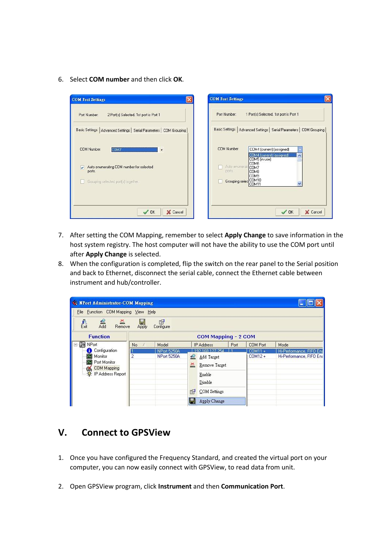6. Select **COM number** and then click **OK**.



- 7. After setting the COM Mapping, remember to select **Apply Change** to save information in the host system registry. The host computer will not have the ability to use the COM port until after **Apply Change** is selected.
- 8. When the configuration is completed, flip the switch on the rear panel to the Serial position and back to Ethernet, disconnect the serial cable, connect the Ethernet cable between instrument and hub/controller.

| <b>We Next Administrator-COM Mapping</b>                                            |                                       |                       |             |                                   |        |                          |                          |
|-------------------------------------------------------------------------------------|---------------------------------------|-----------------------|-------------|-----------------------------------|--------|--------------------------|--------------------------|
| File Function COM Mapping View Help                                                 |                                       |                       |             |                                   |        |                          |                          |
| $\frac{\bar{\bar{\mathbf{r}}}}{\mathrm{Ext}}$<br>$rac{6}{\text{Add}}$<br>$R$ Remove | Apply                                 | <b>E</b><br>Configure |             |                                   |        |                          |                          |
| <b>Function</b>                                                                     | COM Mapping - 2 COM                   |                       |             |                                   |        |                          |                          |
| ⊟ 2 NPort                                                                           | No                                    | Model                 |             | <b>IP Address</b>                 | Port   | <b>COM Port</b>          | Mode                     |
| Configuration                                                                       | 192 168 127 254<br><b>NPort 5250A</b> |                       |             |                                   | COM11+ | Hi-Performance, FIFO End |                          |
| Monitor<br>Port Monitor<br><b>COM Mapping</b><br><b>W</b> : IP Address Report       | $\overline{2}$                        | <b>NPort 5250A</b>    | ≝<br>즘<br>图 | Add Target<br>Remove Target       |        | $COM12 +$                | Hi-Performance, FIFO Ena |
|                                                                                     |                                       |                       |             | Enable<br>Disable<br>COM Settings |        |                          |                          |
|                                                                                     |                                       |                       |             |                                   |        |                          |                          |
|                                                                                     |                                       |                       |             | Apply Change                      |        |                          |                          |

# **V. Connect to GPSView**

- 1. Once you have configured the Frequency Standard, and created the virtual port on your computer, you can now easily connect with GPSView, to read data from unit.
- 2. Open GPSView program, click **Instrument** and then **Communication Port**.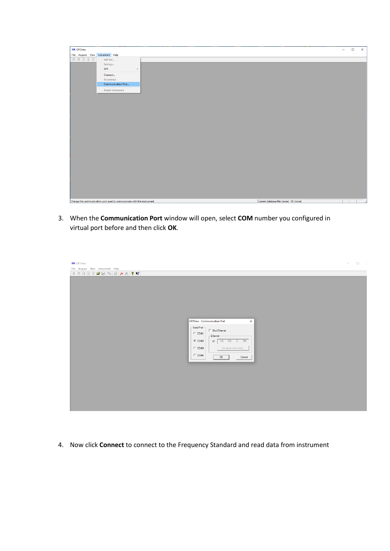| <b>GPS GPSView</b>                |                                                                       |                                          | $\sim$ | $\Box$ |
|-----------------------------------|-----------------------------------------------------------------------|------------------------------------------|--------|--------|
| File Acquire View Instrument Help |                                                                       |                                          |        |        |
| 团团团团团                             | Self Test                                                             |                                          |        |        |
|                                   | Settings                                                              |                                          |        |        |
|                                   | GPS<br>$\,$                                                           |                                          |        |        |
|                                   | Connect                                                               |                                          |        |        |
|                                   | Disconnect                                                            |                                          |        |        |
|                                   | Communication Port                                                    |                                          |        |        |
|                                   | Restart Instrument                                                    |                                          |        |        |
|                                   |                                                                       |                                          |        |        |
|                                   |                                                                       |                                          |        |        |
|                                   |                                                                       |                                          |        |        |
|                                   |                                                                       |                                          |        |        |
|                                   |                                                                       |                                          |        |        |
|                                   |                                                                       |                                          |        |        |
|                                   |                                                                       |                                          |        |        |
|                                   |                                                                       |                                          |        |        |
|                                   |                                                                       |                                          |        |        |
|                                   |                                                                       |                                          |        |        |
|                                   |                                                                       |                                          |        |        |
|                                   |                                                                       |                                          |        |        |
|                                   |                                                                       |                                          |        |        |
|                                   |                                                                       |                                          |        |        |
|                                   |                                                                       |                                          |        |        |
|                                   |                                                                       |                                          |        |        |
|                                   |                                                                       |                                          |        |        |
|                                   |                                                                       |                                          |        |        |
|                                   |                                                                       |                                          |        |        |
|                                   |                                                                       |                                          |        |        |
|                                   |                                                                       |                                          |        |        |
|                                   |                                                                       |                                          |        |        |
|                                   |                                                                       |                                          |        |        |
|                                   |                                                                       |                                          |        |        |
|                                   | Change the communication port used to communicate with the instrument | Current database file: (none) ID: (none) |        |        |

3. When the **Communication Port** window will open, select **COM** number you configured in virtual port before and then click **OK**.

| <b>GPS</b> GPSView                                                                                                                                                                                                                   | $\Box$<br>III $\Box$<br><br><br><br>II<br>$\hspace{0.1mm}-\hspace{0.1mm}$ |
|--------------------------------------------------------------------------------------------------------------------------------------------------------------------------------------------------------------------------------------|---------------------------------------------------------------------------|
| File Acquire View Instrument Help                                                                                                                                                                                                    |                                                                           |
|                                                                                                                                                                                                                                      |                                                                           |
| <b>GPSView - Communication Port</b><br>$\times$<br>Serial Port-<br>$\Box$ Use Ethernet<br>$C$ COM1<br>-Ethernet-<br>IP   192 . 168 . 0 . 254<br>$C$ COM2<br>Configure Instrument<br>$\subset$ COM3<br>$\subset$ COM4<br>0K<br>Cancel |                                                                           |

4. Now click **Connect** to connect to the Frequency Standard and read data from instrument